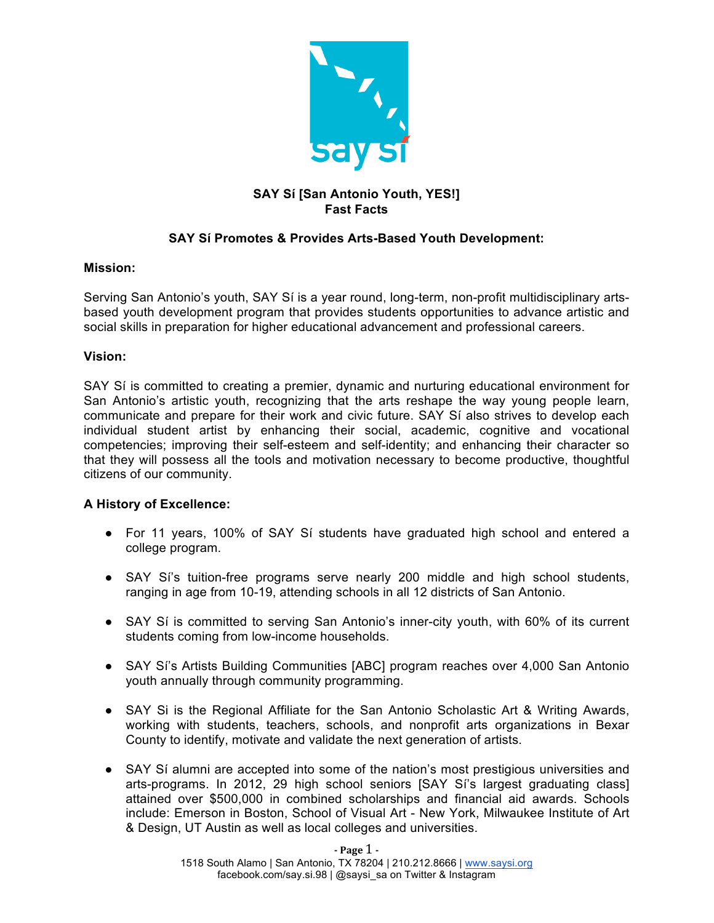

# **SAY Sí [San Antonio Youth, YES!] Fast Facts**

# **SAY Sí Promotes & Provides Arts-Based Youth Development:**

## **Mission:**

Serving San Antonio's youth, SAY Sí is a year round, long-term, non-profit multidisciplinary artsbased youth development program that provides students opportunities to advance artistic and social skills in preparation for higher educational advancement and professional careers.

## **Vision:**

SAY Sí is committed to creating a premier, dynamic and nurturing educational environment for San Antonio's artistic youth, recognizing that the arts reshape the way young people learn, communicate and prepare for their work and civic future. SAY Sí also strives to develop each individual student artist by enhancing their social, academic, cognitive and vocational competencies; improving their self-esteem and self-identity; and enhancing their character so that they will possess all the tools and motivation necessary to become productive, thoughtful citizens of our community.

## **A History of Excellence:**

- For 11 years, 100% of SAY Sí students have graduated high school and entered a college program.
- SAY Si's tuition-free programs serve nearly 200 middle and high school students, ranging in age from 10-19, attending schools in all 12 districts of San Antonio.
- SAY Sí is committed to serving San Antonio's inner-city youth, with 60% of its current students coming from low-income households.
- SAY Sí's Artists Building Communities [ABC] program reaches over 4,000 San Antonio youth annually through community programming.
- SAY Si is the Regional Affiliate for the San Antonio Scholastic Art & Writing Awards, working with students, teachers, schools, and nonprofit arts organizations in Bexar County to identify, motivate and validate the next generation of artists.
- SAY Sí alumni are accepted into some of the nation's most prestigious universities and arts-programs. In 2012, 29 high school seniors [SAY Sí's largest graduating class] attained over \$500,000 in combined scholarships and financial aid awards. Schools include: Emerson in Boston, School of Visual Art - New York, Milwaukee Institute of Art & Design, UT Austin as well as local colleges and universities.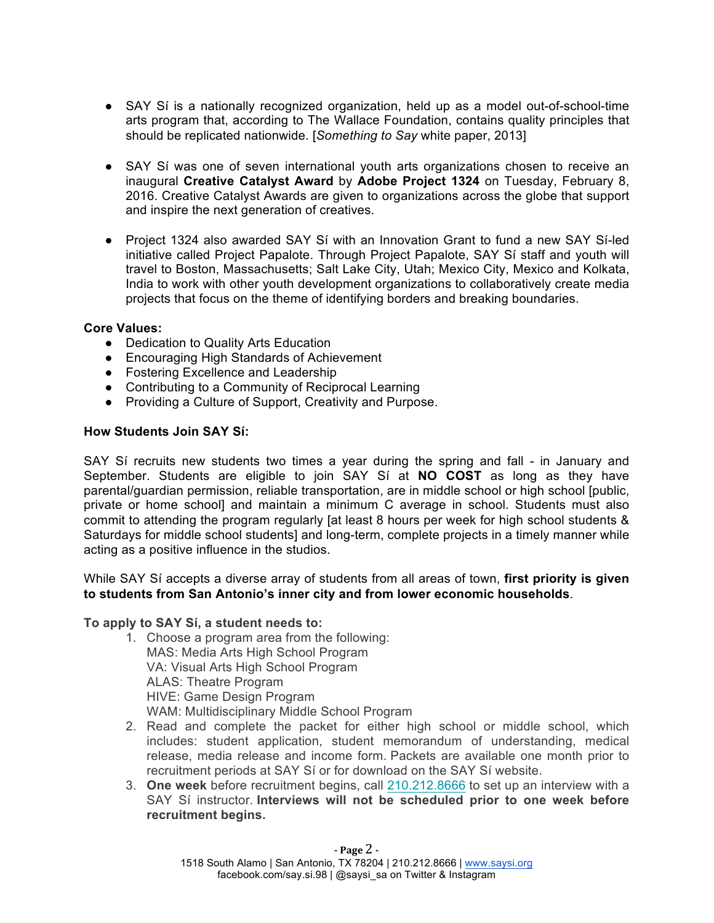- SAY Sí is a nationally recognized organization, held up as a model out-of-school-time arts program that, according to The Wallace Foundation, contains quality principles that should be replicated nationwide. [*Something to Say* white paper, 2013]
- SAY Sí was one of seven international youth arts organizations chosen to receive an inaugural **Creative Catalyst Award** by **Adobe Project 1324** on Tuesday, February 8, 2016. Creative Catalyst Awards are given to organizations across the globe that support and inspire the next generation of creatives.
- Project 1324 also awarded SAY Sí with an Innovation Grant to fund a new SAY Sí-led initiative called Project Papalote. Through Project Papalote, SAY Sí staff and youth will travel to Boston, Massachusetts; Salt Lake City, Utah; Mexico City, Mexico and Kolkata, India to work with other youth development organizations to collaboratively create media projects that focus on the theme of identifying borders and breaking boundaries.

## **Core Values:**

- Dedication to Quality Arts Education
- Encouraging High Standards of Achievement
- Fostering Excellence and Leadership
- Contributing to a Community of Reciprocal Learning
- Providing a Culture of Support, Creativity and Purpose.

#### **How Students Join SAY Sí:**

SAY Sí recruits new students two times a year during the spring and fall - in January and September. Students are eligible to join SAY Sí at **NO COST** as long as they have parental/guardian permission, reliable transportation, are in middle school or high school [public, private or home school] and maintain a minimum C average in school. Students must also commit to attending the program regularly [at least 8 hours per week for high school students & Saturdays for middle school students] and long-term, complete projects in a timely manner while acting as a positive influence in the studios.

While SAY Sí accepts a diverse array of students from all areas of town, **first priority is given to students from San Antonio's inner city and from lower economic households**.

#### **To apply to SAY Sí, a student needs to:**

- 1. Choose a program area from the following: MAS: Media Arts High School Program VA: Visual Arts High School Program ALAS: Theatre Program HIVE: Game Design Program WAM: Multidisciplinary Middle School Program
- 2. Read and complete the packet for either high school or middle school, which includes: student application, student memorandum of understanding, medical release, media release and income form. Packets are available one month prior to recruitment periods at SAY Sí or for download on the SAY Sí website.
- 3. **One week** before recruitment begins, call 210.212.8666 to set up an interview with a SAY Sí instructor. **Interviews will not be scheduled prior to one week before recruitment begins.**